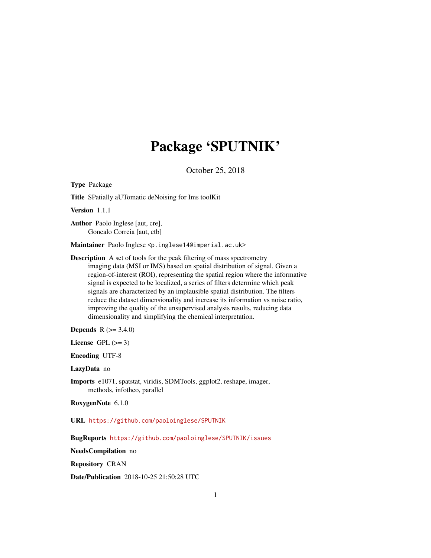# Package 'SPUTNIK'

October 25, 2018

<span id="page-0-0"></span>Type Package Title SPatially aUTomatic deNoising for Ims toolKit

Version 1.1.1

Author Paolo Inglese [aut, cre], Goncalo Correia [aut, ctb]

Maintainer Paolo Inglese <p.inglese14@imperial.ac.uk>

Description A set of tools for the peak filtering of mass spectrometry imaging data (MSI or IMS) based on spatial distribution of signal. Given a region-of-interest (ROI), representing the spatial region where the informative signal is expected to be localized, a series of filters determine which peak signals are characterized by an implausible spatial distribution. The filters reduce the dataset dimensionality and increase its information vs noise ratio, improving the quality of the unsupervised analysis results, reducing data dimensionality and simplifying the chemical interpretation.

**Depends** R  $(>= 3.4.0)$ 

License GPL  $(>= 3)$ 

Encoding UTF-8

LazyData no

Imports e1071, spatstat, viridis, SDMTools, ggplot2, reshape, imager, methods, infotheo, parallel

RoxygenNote 6.1.0

URL <https://github.com/paoloinglese/SPUTNIK>

BugReports <https://github.com/paoloinglese/SPUTNIK/issues>

NeedsCompilation no

Repository CRAN

Date/Publication 2018-10-25 21:50:28 UTC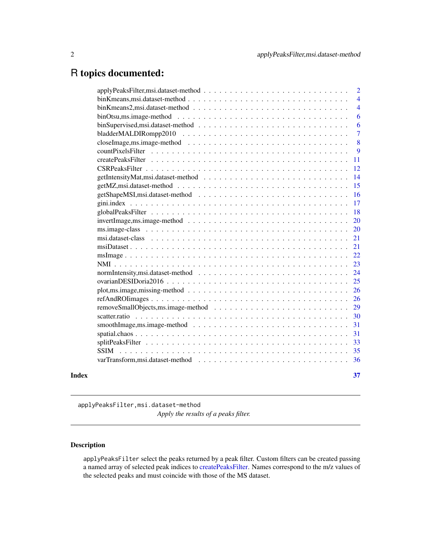# <span id="page-1-0"></span>R topics documented:

|       |                                                                                                                     | $\overline{2}$ |
|-------|---------------------------------------------------------------------------------------------------------------------|----------------|
|       |                                                                                                                     | $\overline{4}$ |
|       |                                                                                                                     | $\overline{4}$ |
|       | $binOtsu, ms. image-method \t  \t  \t  \t  \t  \t$                                                                  | 6              |
|       |                                                                                                                     | 6              |
|       |                                                                                                                     | $\overline{7}$ |
|       |                                                                                                                     | 8              |
|       |                                                                                                                     | 9              |
|       |                                                                                                                     | 11             |
|       |                                                                                                                     | 12             |
|       |                                                                                                                     | 14             |
|       |                                                                                                                     | 15             |
|       |                                                                                                                     | 16             |
|       |                                                                                                                     | 17             |
|       |                                                                                                                     | 18             |
|       | $invertImage, ms. image-method \dots \dots \dots \dots \dots \dots \dots \dots \dots \dots \dots \dots \dots \dots$ | 20             |
|       |                                                                                                                     | 20             |
|       |                                                                                                                     | 21             |
|       |                                                                                                                     | 21             |
|       |                                                                                                                     | 22             |
|       |                                                                                                                     | 23             |
|       |                                                                                                                     | 24             |
|       |                                                                                                                     | 25             |
|       |                                                                                                                     | 26             |
|       |                                                                                                                     | 26             |
|       |                                                                                                                     | 29             |
|       |                                                                                                                     | 30             |
|       |                                                                                                                     | 31             |
|       |                                                                                                                     | 31             |
|       |                                                                                                                     | 33             |
|       | <b>SSIM</b>                                                                                                         | 35             |
|       |                                                                                                                     | 36             |
| Index |                                                                                                                     | 37             |
|       |                                                                                                                     |                |

applyPeaksFilter,msi.dataset-method

*Apply the results of a peaks filter.*

## <span id="page-1-1"></span>Description

applyPeaksFilter select the peaks returned by a peak filter. Custom filters can be created passing a named array of selected peak indices to [createPeaksFilter.](#page-10-1) Names correspond to the m/z values of the selected peaks and must coincide with those of the MS dataset.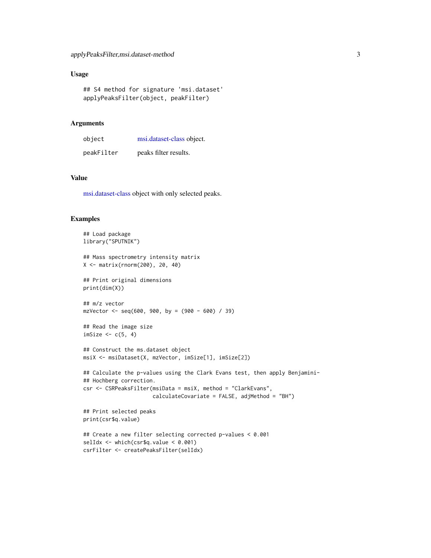## <span id="page-2-0"></span>Usage

```
## S4 method for signature 'msi.dataset'
applyPeaksFilter(object, peakFilter)
```
## Arguments

| object     | msi.dataset-class object. |
|------------|---------------------------|
| peakFilter | peaks filter results.     |

## Value

[msi.dataset-class](#page-20-1) object with only selected peaks.

```
## Load package
library("SPUTNIK")
## Mass spectrometry intensity matrix
X <- matrix(rnorm(200), 20, 40)
## Print original dimensions
print(dim(X))
## m/z vector
mzVector <- seq(600, 900, by = (900 - 600) / 39)
## Read the image size
imSize <-c(5, 4)## Construct the ms.dataset object
msiX <- msiDataset(X, mzVector, imSize[1], imSize[2])
## Calculate the p-values using the Clark Evans test, then apply Benjamini-
## Hochberg correction.
csr <- CSRPeaksFilter(msiData = msiX, method = "ClarkEvans",
                      calculateCovariate = FALSE, adjMethod = "BH")
## Print selected peaks
print(csr$q.value)
## Create a new filter selecting corrected p-values < 0.001
selIdx <- which(csr$q.value < 0.001)
csrFilter <- createPeaksFilter(selIdx)
```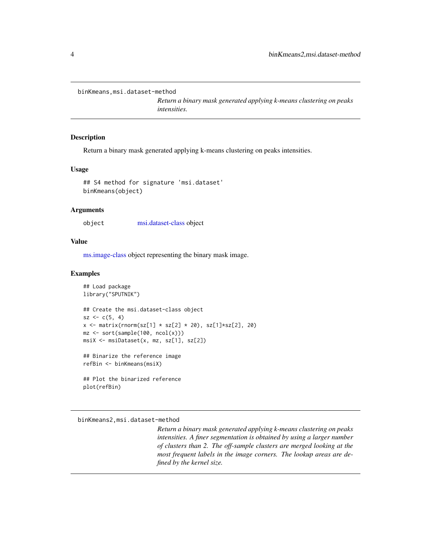<span id="page-3-0"></span>binKmeans,msi.dataset-method

*Return a binary mask generated applying k-means clustering on peaks intensities.*

#### Description

Return a binary mask generated applying k-means clustering on peaks intensities.

#### Usage

```
## S4 method for signature 'msi.dataset'
binKmeans(object)
```
#### **Arguments**

object [msi.dataset-class](#page-20-1) object

#### Value

[ms.image-class](#page-19-1) object representing the binary mask image.

#### Examples

```
## Load package
library("SPUTNIK")
## Create the msi.dataset-class object
sz < -c(5, 4)x \le matrix(rnorm(sz[1] * sz[2] * 20), sz[1]*sz[2], 20)
mz <- sort(sample(100, ncol(x)))
msiX <- msiDataset(x, mz, sz[1], sz[2])
## Binarize the reference image
refBin <- binKmeans(msiX)
## Plot the binarized reference
```
plot(refBin)

binKmeans2,msi.dataset-method

*Return a binary mask generated applying k-means clustering on peaks intensities. A finer segmentation is obtained by using a larger number of clusters than 2. The off-sample clusters are merged looking at the most frequent labels in the image corners. The lookup areas are defined by the kernel size.*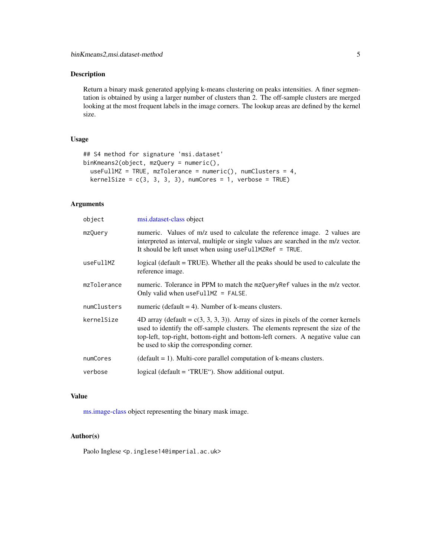## <span id="page-4-0"></span>Description

Return a binary mask generated applying k-means clustering on peaks intensities. A finer segmentation is obtained by using a larger number of clusters than 2. The off-sample clusters are merged looking at the most frequent labels in the image corners. The lookup areas are defined by the kernel size.

## Usage

```
## S4 method for signature 'msi.dataset'
binKmeans2(object, mzQuery = numeric(),
 useFullMZ = TRUE, mzTolerance = numeric(), numClusters = 4,
 kernelSize = c(3, 3, 3, 3), numCores = 1, verbose = TRUE)
```
## Arguments

| object      | msi.dataset-class object                                                                                                                                                                                                                                                                                  |
|-------------|-----------------------------------------------------------------------------------------------------------------------------------------------------------------------------------------------------------------------------------------------------------------------------------------------------------|
| mzQuery     | numeric. Values of m/z used to calculate the reference image. 2 values are<br>interpreted as interval, multiple or single values are searched in the m/z vector.<br>It should be left unset when using useFullMZRef = TRUE.                                                                               |
| useFullMZ   | logical (default = TRUE). Whether all the peaks should be used to calculate the<br>reference image.                                                                                                                                                                                                       |
| mzTolerance | numeric. Tolerance in PPM to match the mzQueryRef values in the m/z vector.<br>Only valid when $useFullMZ = FALSE$ .                                                                                                                                                                                      |
| numClusters | numeric (default $= 4$ ). Number of k-means clusters.                                                                                                                                                                                                                                                     |
| kernelSize  | 4D array (default = $c(3, 3, 3, 3)$ ). Array of sizes in pixels of the corner kernels<br>used to identify the off-sample clusters. The elements represent the size of the<br>top-left, top-right, bottom-right and bottom-left corners. A negative value can<br>be used to skip the corresponding corner. |
| numCores    | $(default = 1)$ . Multi-core parallel computation of k-means clusters.                                                                                                                                                                                                                                    |
| verbose     | logical (default $=$ 'TRUE"). Show additional output.                                                                                                                                                                                                                                                     |

## Value

[ms.image-class](#page-19-1) object representing the binary mask image.

## Author(s)

Paolo Inglese <p.inglese14@imperial.ac.uk>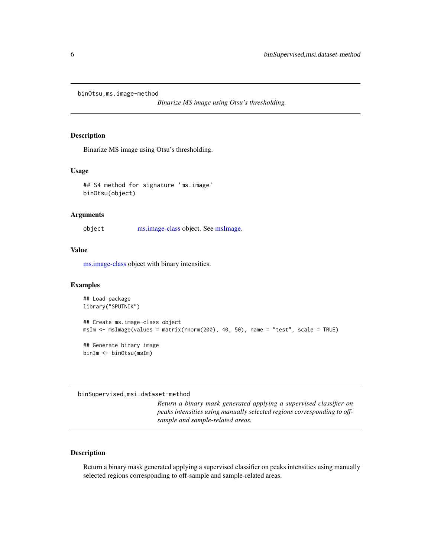<span id="page-5-0"></span>binOtsu,ms.image-method

*Binarize MS image using Otsu's thresholding.*

## Description

Binarize MS image using Otsu's thresholding.

## Usage

```
## S4 method for signature 'ms.image'
binOtsu(object)
```
## Arguments

object [ms.image-class](#page-19-1) object. See [msImage.](#page-21-1)

## Value

[ms.image-class](#page-19-1) object with binary intensities.

## Examples

```
## Load package
library("SPUTNIK")
## Create ms.image-class object
msIm <- msImage(values = matrix(rnorm(200), 40, 50), name = "test", scale = TRUE)
## Generate binary image
binIm <- binOtsu(msIm)
```
binSupervised,msi.dataset-method

*Return a binary mask generated applying a supervised classifier on peaks intensities using manually selected regions corresponding to offsample and sample-related areas.*

## Description

Return a binary mask generated applying a supervised classifier on peaks intensities using manually selected regions corresponding to off-sample and sample-related areas.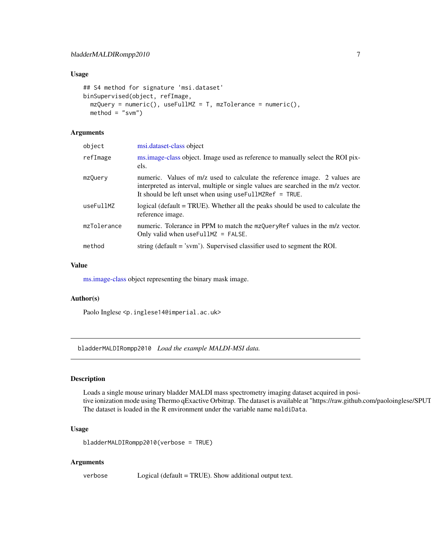#### <span id="page-6-0"></span>Usage

```
## S4 method for signature 'msi.dataset'
binSupervised(object, refImage,
 mzQuery = numeric(), useFullMZ = T, mzTolerance = numeric(),method = "swm")
```
## Arguments

| object      | msi.dataset-class object                                                                                                                                                                                                    |
|-------------|-----------------------------------------------------------------------------------------------------------------------------------------------------------------------------------------------------------------------------|
| refImage    | ms.image-class object. Image used as reference to manually select the ROI pix-<br>els.                                                                                                                                      |
| mzQuery     | numeric. Values of m/z used to calculate the reference image. 2 values are<br>interpreted as interval, multiple or single values are searched in the m/z vector.<br>It should be left unset when using useFullMZRef = TRUE. |
| useFullMZ   | logical (default = TRUE). Whether all the peaks should be used to calculate the<br>reference image.                                                                                                                         |
| mzTolerance | numeric. Tolerance in PPM to match the mzQueryRef values in the m/z vector.<br>Only valid when $useFullMZ = FALSE$ .                                                                                                        |
| method      | string (default $=$ 'svm'). Supervised classifier used to segment the ROI.                                                                                                                                                  |
|             |                                                                                                                                                                                                                             |

#### Value

[ms.image-class](#page-19-1) object representing the binary mask image.

## Author(s)

Paolo Inglese <p.inglese14@imperial.ac.uk>

bladderMALDIRompp2010 *Load the example MALDI-MSI data.*

## Description

Loads a single mouse urinary bladder MALDI mass spectrometry imaging dataset acquired in positive ionization mode using Thermo qExactive Orbitrap. The dataset is available at "https://raw.github.com/paoloinglese/SPUT The dataset is loaded in the R environment under the variable name maldiData.

## Usage

bladderMALDIRompp2010(verbose = TRUE)

#### Arguments

verbose Logical (default = TRUE). Show additional output text.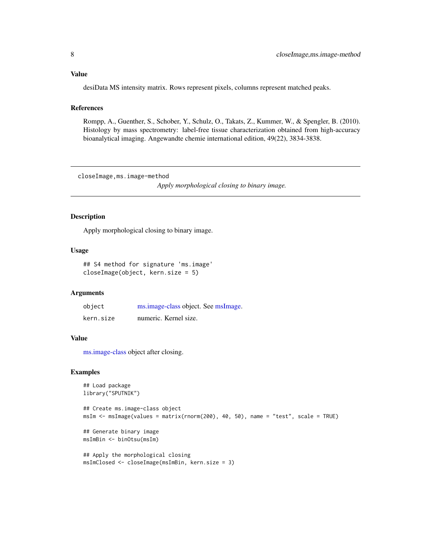## <span id="page-7-0"></span>Value

desiData MS intensity matrix. Rows represent pixels, columns represent matched peaks.

#### References

Rompp, A., Guenther, S., Schober, Y., Schulz, O., Takats, Z., Kummer, W., & Spengler, B. (2010). Histology by mass spectrometry: label-free tissue characterization obtained from high-accuracy bioanalytical imaging. Angewandte chemie international edition, 49(22), 3834-3838.

closeImage,ms.image-method

*Apply morphological closing to binary image.*

## Description

Apply morphological closing to binary image.

#### Usage

```
## S4 method for signature 'ms.image'
closeImage(object, kern.size = 5)
```
#### Arguments

| object    | ms.image-class object. See msImage. |
|-----------|-------------------------------------|
| kern.size | numeric. Kernel size.               |

#### Value

[ms.image-class](#page-19-1) object after closing.

```
## Load package
library("SPUTNIK")
## Create ms.image-class object
msIm <- msImage(values = matrix(rnorm(200), 40, 50), name = "test", scale = TRUE)
## Generate binary image
msImBin <- binOtsu(msIm)
```

```
## Apply the morphological closing
msImClosed <- closeImage(msImBin, kern.size = 3)
```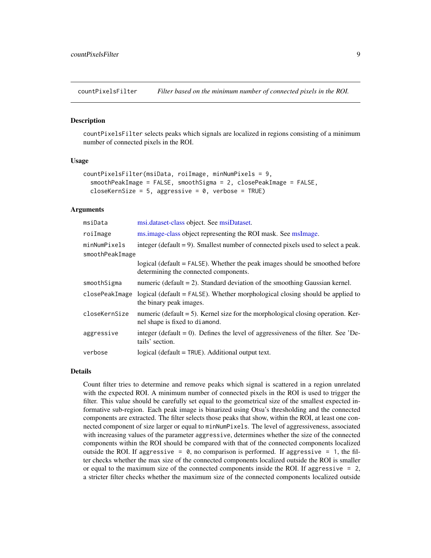<span id="page-8-1"></span><span id="page-8-0"></span>countPixelsFilter *Filter based on the minimum number of connected pixels in the ROI.*

#### Description

countPixelsFilter selects peaks which signals are localized in regions consisting of a minimum number of connected pixels in the ROI.

#### Usage

```
countPixelsFilter(msiData, roiImage, minNumPixels = 9,
  smoothPeakImage = FALSE, smoothSigma = 2, closePeakImage = FALSE,
  closeKernSize = 5, aggressive = 0, verbose = TRUE)
```
## Arguments

| msiData         | msi.dataset-class object. See msiDataset.                                                                               |
|-----------------|-------------------------------------------------------------------------------------------------------------------------|
| roiImage        | ms.image-class object representing the ROI mask. See msImage.                                                           |
| minNumPixels    | integer (default $= 9$ ). Smallest number of connected pixels used to select a peak.                                    |
| smoothPeakImage |                                                                                                                         |
|                 | logical (default $=$ FALSE). Whether the peak images should be smoothed before<br>determining the connected components. |
| smoothSigma     | numeric (default $= 2$ ). Standard deviation of the smoothing Gaussian kernel.                                          |
| closePeakImage  | $logical$ (default = FALSE). Whether morphological closing should be applied to<br>the binary peak images.              |
| closeKernSize   | numeric (default $= 5$ ). Kernel size for the morphological closing operation. Ker-<br>nel shape is fixed to diamond.   |
| aggressive      | integer (default $= 0$ ). Defines the level of aggressiveness of the filter. See 'De-<br>tails' section.                |
| verbose         | $logical$ (default = $TRUE$ ). Additional output text.                                                                  |

#### Details

Count filter tries to determine and remove peaks which signal is scattered in a region unrelated with the expected ROI. A minimum number of connected pixels in the ROI is used to trigger the filter. This value should be carefully set equal to the geometrical size of the smallest expected informative sub-region. Each peak image is binarized using Otsu's thresholding and the connected components are extracted. The filter selects those peaks that show, within the ROI, at least one connected component of size larger or equal to minNumPixels. The level of aggressiveness, associated with increasing values of the parameter aggressive, determines whether the size of the connected components within the ROI should be compared with that of the connected components localized outside the ROI. If aggressive  $= 0$ , no comparison is performed. If aggressive  $= 1$ , the filter checks whether the max size of the connected components localized outside the ROI is smaller or equal to the maximum size of the connected components inside the ROI. If aggressive = 2, a stricter filter checks whether the maximum size of the connected components localized outside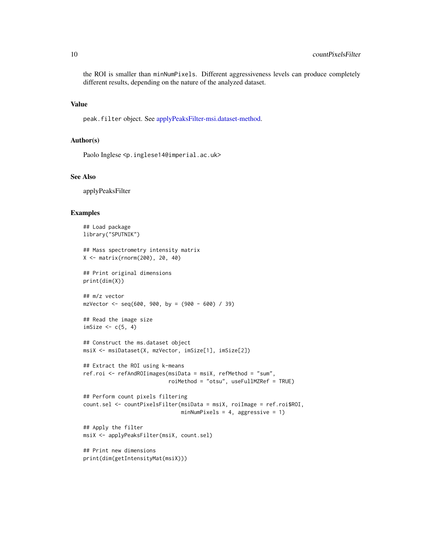<span id="page-9-0"></span>the ROI is smaller than minNumPixels. Different aggressiveness levels can produce completely different results, depending on the nature of the analyzed dataset.

## Value

peak.filter object. See [applyPeaksFilter-msi.dataset-method.](#page-1-1)

## Author(s)

Paolo Inglese <p.inglese14@imperial.ac.uk>

#### See Also

applyPeaksFilter

```
## Load package
library("SPUTNIK")
## Mass spectrometry intensity matrix
X <- matrix(rnorm(200), 20, 40)
## Print original dimensions
print(dim(X))
## m/z vector
mzVector < -seq(600, 900, by = (900 - 600) / 39)## Read the image size
imSize <-c(5, 4)## Construct the ms.dataset object
msiX <- msiDataset(X, mzVector, imSize[1], imSize[2])
## Extract the ROI using k-means
ref.roi <- refAndROIimages(msiData = msiX, refMethod = "sum",
                           roiMethod = "otsu", useFullMZRef = TRUE)
## Perform count pixels filtering
count.sel <- countPixelsFilter(msiData = msiX, roiImage = ref.roi$ROI,
                               minNumPixels = 4, aggressive = 1)
## Apply the filter
msiX <- applyPeaksFilter(msiX, count.sel)
## Print new dimensions
```

```
print(dim(getIntensityMat(msiX)))
```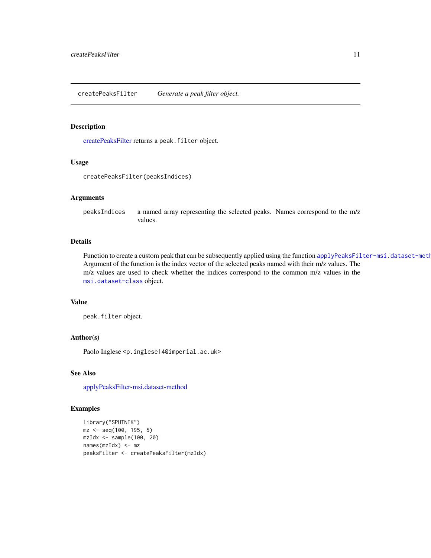#### <span id="page-10-1"></span><span id="page-10-0"></span>Description

[createPeaksFilter](#page-10-1) returns a peak.filter object.

## Usage

createPeaksFilter(peaksIndices)

## Arguments

peaksIndices a named array representing the selected peaks. Names correspond to the m/z values.

## Details

Function to create a custom peak that can be subsequently applied using the function applyPeaksFilter-msi.dataset-meth Argument of the function is the index vector of the selected peaks named with their m/z values. The m/z values are used to check whether the indices correspond to the common m/z values in the [msi.dataset-class](#page-20-1) object.

## Value

peak.filter object.

## Author(s)

Paolo Inglese <p.inglese14@imperial.ac.uk>

## See Also

[applyPeaksFilter-msi.dataset-method](#page-1-1)

```
library("SPUTNIK")
mz <- seq(100, 195, 5)
mzIdx <- sample(100, 20)
names(mzIdx) <- mz
peaksFilter <- createPeaksFilter(mzIdx)
```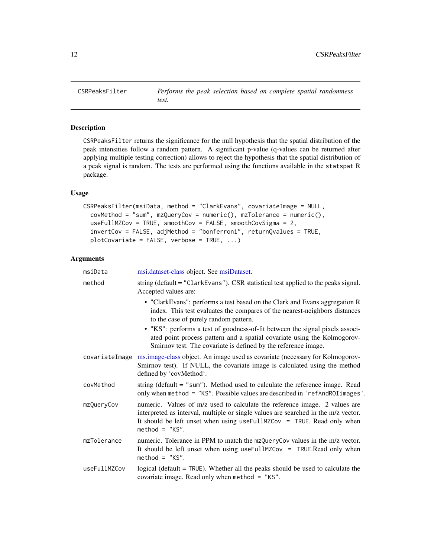<span id="page-11-0"></span>CSRPeaksFilter *Performs the peak selection based on complete spatial randomness test.*

## Description

CSRPeaksFilter returns the significance for the null hypothesis that the spatial distribution of the peak intensities follow a random pattern. A significant p-value (q-values can be returned after applying multiple testing correction) allows to reject the hypothesis that the spatial distribution of a peak signal is random. The tests are performed using the functions available in the statspat R package.

## Usage

```
CSRPeaksFilter(msiData, method = "ClarkEvans", covariateImage = NULL,
  covMethod = "sum", mzQueryCov = numeric(), mzTolerance = numeric(),
  useFullMZCov = TRUE, smoothCov = FALSE, smoothCovSigma = 2,
  invertCov = FALSE, adjMethod = "bonferroni", returnQvalues = TRUE,
 plotCovariate = FALSE, verbose = TRUE, ...)
```
#### Arguments

| msiData        | msi.dataset-class object. See msiDataset.                                                                                                                                                                                                                      |
|----------------|----------------------------------------------------------------------------------------------------------------------------------------------------------------------------------------------------------------------------------------------------------------|
| method         | string ( $default = "ClarkEvans")$ . CSR statistical test applied to the peaks signal.<br>Accepted values are:                                                                                                                                                 |
|                | • "ClarkEvans": performs a test based on the Clark and Evans aggregation R<br>index. This test evaluates the compares of the nearest-neighbors distances<br>to the case of purely random pattern.                                                              |
|                | • "KS": performs a test of goodness-of-fit between the signal pixels associ-<br>ated point process pattern and a spatial covariate using the Kolmogorov-<br>Smirnov test. The covariate is defined by the reference image.                                     |
| covariateImage | ms.image-class object. An image used as covariate (necessary for Kolmogorov-<br>Smirnov test). If NULL, the covariate image is calculated using the method<br>defined by 'covMethod'.                                                                          |
| covMethod      | string (default $=$ "sum"). Method used to calculate the reference image. Read<br>only when method = "KS". Possible values are described in 'refAndROIimages'.                                                                                                 |
| mzQueryCov     | numeric. Values of m/z used to calculate the reference image. 2 values are<br>interpreted as interval, multiple or single values are searched in the m/z vector.<br>It should be left unset when using useFullMZCov = TRUE. Read only when<br>$method = "KS".$ |
| mzTolerance    | numeric. Tolerance in PPM to match the mzQueryCov values in the m/z vector.<br>It should be left unset when using useFullMZCov = TRUE.Read only when<br>$method = "KS".$                                                                                       |
| useFullMZCov   | logical (default $=$ TRUE). Whether all the peaks should be used to calculate the<br>covariate image. Read only when method = $"KS".$                                                                                                                          |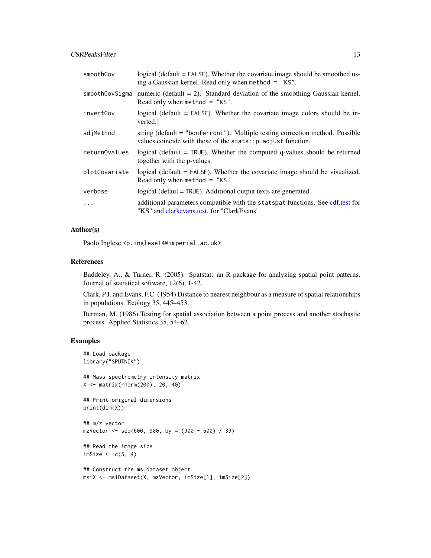## <span id="page-12-0"></span>CSRPeaksFilter 13

| smoothCov      | logical (default = FALSE). Whether the covariate image should be smoothed us-<br>ing a Gaussian kernel. Read only when method $=$ "KS".        |
|----------------|------------------------------------------------------------------------------------------------------------------------------------------------|
| smoothCovSigma | numeric (default $= 2$ ). Standard deviation of the smoothing Gaussian kernel.<br>Read only when method = $"KS".$                              |
| invertCov      | logical (default $=$ FALSE). Whether the covariate image colors should be in-<br>verted.                                                       |
| adjMethod      | string (default = "bonferroni"). Multiple testing correction method. Possible<br>values coincide with those of the stats:: p. adjust function. |
| returnOvalues  | logical (default $=$ TRUE). Whether the computed q-values should be returned<br>together with the p-values.                                    |
| plotCovariate  | logical (default $=$ FALSE). Whether the covariate image should be visualized.<br>Read only when method = $"KS".$                              |
| verbose        | logical (defaul = TRUE). Additional output texts are generated.                                                                                |
| $\ddots$       | additional parameters compatible with the statspat functions. See cdf.test for<br>"KS" and clarkevans.test. for "ClarkEvans"                   |

## Author(s)

Paolo Inglese <p.inglese14@imperial.ac.uk>

## References

Baddeley, A., & Turner, R. (2005). Spatstat: an R package for analyzing spatial point patterns. Journal of statistical software, 12(6), 1-42.

Clark, P.J. and Evans, F.C. (1954) Distance to nearest neighbour as a measure of spatial relationships in populations. Ecology 35, 445–453.

Berman, M. (1986) Testing for spatial association between a point process and another stochastic process. Applied Statistics 35, 54–62.

## Examples

```
## Load package
library("SPUTNIK")
## Mass spectrometry intensity matrix
X <- matrix(rnorm(200), 20, 40)
## Print original dimensions
print(dim(X))
## m/z vector
mzVector < -seq(600, 900, by = (900 - 600) / 39)## Read the image size
imSize <-c(5, 4)## Construct the ms.dataset object
```
msiX <- msiDataset(X, mzVector, imSize[1], imSize[2])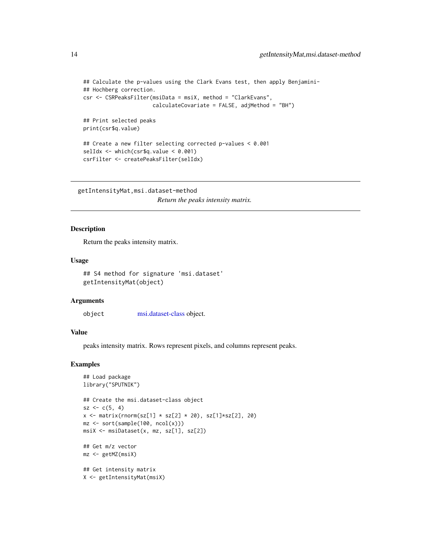```
## Calculate the p-values using the Clark Evans test, then apply Benjamini-
## Hochberg correction.
csr <- CSRPeaksFilter(msiData = msiX, method = "ClarkEvans",
                      calculateCovariate = FALSE, adjMethod = "BH")
## Print selected peaks
print(csr$q.value)
## Create a new filter selecting corrected p-values < 0.001
selIdx <- which(csr$q.value < 0.001)
```

```
csrFilter <- createPeaksFilter(selIdx)
```
getIntensityMat,msi.dataset-method *Return the peaks intensity matrix.*

## Description

Return the peaks intensity matrix.

#### Usage

```
## S4 method for signature 'msi.dataset'
getIntensityMat(object)
```
#### Arguments

object [msi.dataset-class](#page-20-1) object.

## Value

peaks intensity matrix. Rows represent pixels, and columns represent peaks.

```
## Load package
library("SPUTNIK")
## Create the msi.dataset-class object
sz < -c(5, 4)x \le matrix(rnorm(sz[1] * sz[2] * 20), sz[1]*sz[2], 20)
mz <- sort(sample(100, ncol(x)))
msiX <- msiDataset(x, mz, sz[1], sz[2])
## Get m/z vector
mz <- getMZ(msiX)
## Get intensity matrix
X <- getIntensityMat(msiX)
```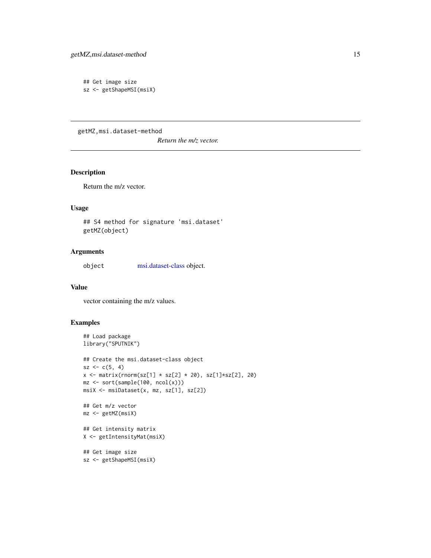```
## Get image size
sz <- getShapeMSI(msiX)
```
getMZ,msi.dataset-method

*Return the m/z vector.*

## Description

Return the m/z vector.

#### Usage

## S4 method for signature 'msi.dataset' getMZ(object)

## Arguments

object [msi.dataset-class](#page-20-1) object.

## Value

vector containing the m/z values.

```
## Load package
library("SPUTNIK")
## Create the msi.dataset-class object
sz < -c(5, 4)x \le matrix(rnorm(sz[1] * sz[2] * 20), sz[1]*sz[2], 20)
mz <- sort(sample(100, ncol(x)))
msiX <- msiDataset(x, mz, sz[1], sz[2])
## Get m/z vector
mz <- getMZ(msiX)
## Get intensity matrix
X <- getIntensityMat(msiX)
## Get image size
sz <- getShapeMSI(msiX)
```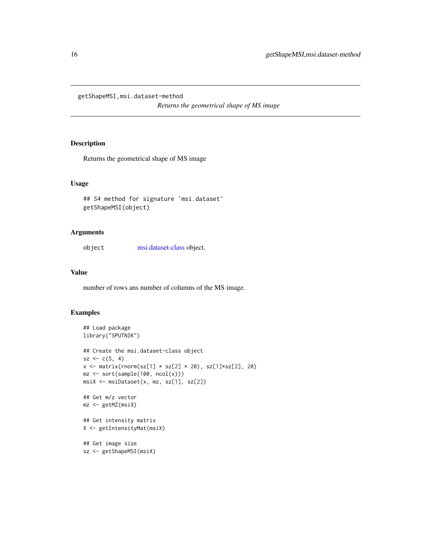<span id="page-15-0"></span>getShapeMSI,msi.dataset-method

*Returns the geometrical shape of MS image*

## Description

Returns the geometrical shape of MS image

## Usage

```
## S4 method for signature 'msi.dataset'
getShapeMSI(object)
```
## Arguments

object [msi.dataset-class](#page-20-1) object.

## Value

number of rows ans number of columns of the MS image.

```
## Load package
library("SPUTNIK")
## Create the msi.dataset-class object
sz < -c(5, 4)x \le matrix(rnorm(sz[1] * sz[2] * 20), sz[1]*sz[2], 20)
mz <- sort(sample(100, ncol(x)))
msiX <- msiDataset(x, mz, sz[1], sz[2])
## Get m/z vector
mz <- getMZ(msiX)
## Get intensity matrix
X <- getIntensityMat(msiX)
## Get image size
sz <- getShapeMSI(msiX)
```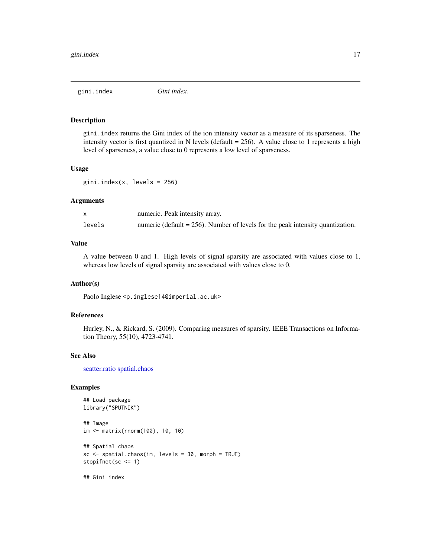<span id="page-16-1"></span><span id="page-16-0"></span>

#### Description

gini.index returns the Gini index of the ion intensity vector as a measure of its sparseness. The intensity vector is first quantized in N levels (default  $= 256$ ). A value close to 1 represents a high level of sparseness, a value close to 0 represents a low level of sparseness.

#### Usage

gini.index(x, levels = 256)

#### Arguments

|        | numeric. Peak intensity array.                                                    |
|--------|-----------------------------------------------------------------------------------|
| levels | numeric (default = $256$ ). Number of levels for the peak intensity quantization. |

## Value

A value between 0 and 1. High levels of signal sparsity are associated with values close to 1, whereas low levels of signal sparsity are associated with values close to 0.

#### Author(s)

Paolo Inglese <p.inglese14@imperial.ac.uk>

## References

Hurley, N., & Rickard, S. (2009). Comparing measures of sparsity. IEEE Transactions on Information Theory, 55(10), 4723-4741.

#### See Also

[scatter.ratio](#page-29-1) [spatial.chaos](#page-30-1)

```
## Load package
library("SPUTNIK")
## Image
im <- matrix(rnorm(100), 10, 10)
## Spatial chaos
sc \leq spatial.chaos(im, levels = 30, morph = TRUE)
stopifnot(sc <= 1)
## Gini index
```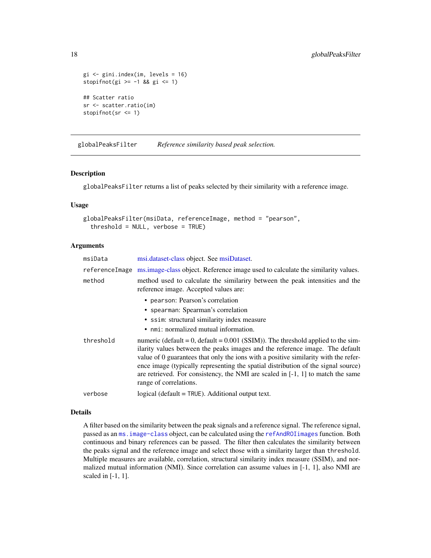```
gi <- gini.index(im, levels = 16)
stopifnot(gi >= -1 && gi <= 1)
## Scatter ratio
sr <- scatter.ratio(im)
stopifnot(sr <= 1)
```
<span id="page-17-1"></span>globalPeaksFilter *Reference similarity based peak selection.*

## Description

globalPeaksFilter returns a list of peaks selected by their similarity with a reference image.

## Usage

```
globalPeaksFilter(msiData, referenceImage, method = "pearson",
  threshold = NULL, verbose = TRUE)
```
## **Arguments**

| msiData        | msi.dataset-class object. See msiDataset.                                                                                                                                                                                                                                                                                                                                                                                                                        |
|----------------|------------------------------------------------------------------------------------------------------------------------------------------------------------------------------------------------------------------------------------------------------------------------------------------------------------------------------------------------------------------------------------------------------------------------------------------------------------------|
| referenceImage | ms.image-class object. Reference image used to calculate the similarity values.                                                                                                                                                                                                                                                                                                                                                                                  |
| method         | method used to calculate the similariry between the peak intensities and the<br>reference image. Accepted values are:                                                                                                                                                                                                                                                                                                                                            |
|                | • pearson: Pearson's correlation                                                                                                                                                                                                                                                                                                                                                                                                                                 |
|                | • spearman: Spearman's correlation                                                                                                                                                                                                                                                                                                                                                                                                                               |
|                | • ssim: structural similarity index measure                                                                                                                                                                                                                                                                                                                                                                                                                      |
|                | • nmi: normalized mutual information.                                                                                                                                                                                                                                                                                                                                                                                                                            |
| threshold      | numeric (default = $0$ , default = $0.001$ (SSIM)). The threshold applied to the sim-<br>ilarity values between the peaks images and the reference image. The default<br>value of 0 guarantees that only the ions with a positive similarity with the refer-<br>ence image (typically representing the spatial distribution of the signal source)<br>are retrieved. For consistency, the NMI are scaled in $[-1, 1]$ to match the same<br>range of correlations. |
| verbose        | $logical$ (default = TRUE). Additional output text.                                                                                                                                                                                                                                                                                                                                                                                                              |

## Details

A filter based on the similarity between the peak signals and a reference signal. The reference signal, passed as an [ms.image-class](#page-19-1) object, can be calculated using the [refAndROIimages](#page-25-1) function. Both continuous and binary references can be passed. The filter then calculates the similarity between the peaks signal and the reference image and select those with a similarity larger than threshold. Multiple measures are available, correlation, structural similarity index measure (SSIM), and normalized mutual information (NMI). Since correlation can assume values in [-1, 1], also NMI are scaled in [-1, 1].

<span id="page-17-0"></span>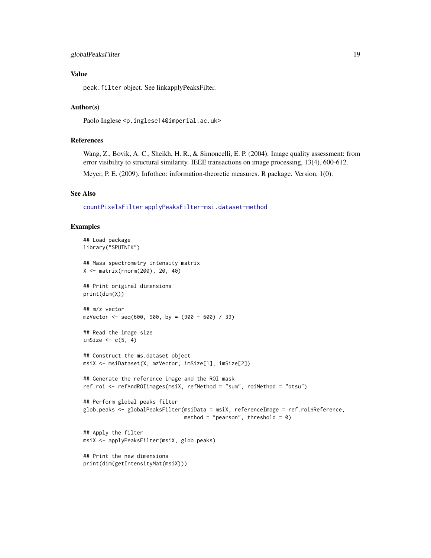## <span id="page-18-0"></span>globalPeaksFilter 19

## Value

peak.filter object. See linkapplyPeaksFilter.

## Author(s)

Paolo Inglese <p.inglese14@imperial.ac.uk>

## References

Wang, Z., Bovik, A. C., Sheikh, H. R., & Simoncelli, E. P. (2004). Image quality assessment: from error visibility to structural similarity. IEEE transactions on image processing, 13(4), 600-612.

Meyer, P. E. (2009). Infotheo: information-theoretic measures. R package. Version, 1(0).

#### See Also

[countPixelsFilter](#page-8-1) [applyPeaksFilter-msi.dataset-method](#page-1-1)

```
## Load package
library("SPUTNIK")
## Mass spectrometry intensity matrix
X <- matrix(rnorm(200), 20, 40)
## Print original dimensions
print(dim(X))
## m/z vector
mzVector <- seq(600, 900, by = (900 - 600) / 39)
## Read the image size
imSize \leftarrow c(5, 4)## Construct the ms.dataset object
msiX <- msiDataset(X, mzVector, imSize[1], imSize[2])
## Generate the reference image and the ROI mask
ref.roi <- refAndROIimages(msiX, refMethod = "sum", roiMethod = "otsu")
## Perform global peaks filter
glob.peaks <- globalPeaksFilter(msiData = msiX, referenceImage = ref.roi$Reference,
                                method = "pearson", threshold = 0)
## Apply the filter
msiX <- applyPeaksFilter(msiX, glob.peaks)
## Print the new dimensions
print(dim(getIntensityMat(msiX)))
```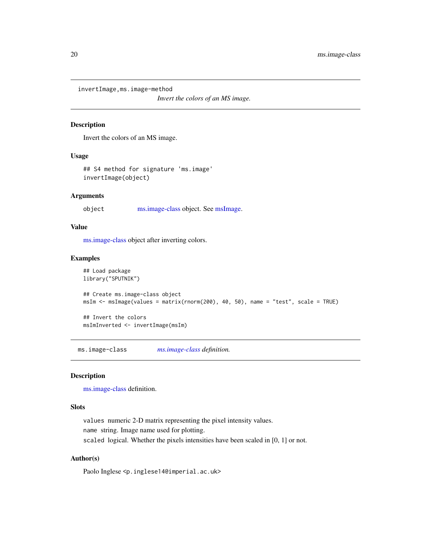<span id="page-19-0"></span>invertImage,ms.image-method

*Invert the colors of an MS image.*

## Description

Invert the colors of an MS image.

## Usage

## S4 method for signature 'ms.image' invertImage(object)

#### Arguments

object [ms.image-class](#page-19-1) object. See [msImage.](#page-21-1)

#### Value

[ms.image-class](#page-19-1) object after inverting colors.

#### Examples

```
## Load package
library("SPUTNIK")
## Create ms.image-class object
msIm <- msImage(values = matrix(rnorm(200), 40, 50), name = "test", scale = TRUE)
## Invert the colors
```
msImInverted <- invertImage(msIm)

<span id="page-19-1"></span>ms.image-class *[ms.image-class](#page-19-1) definition.*

## Description

[ms.image-class](#page-19-1) definition.

#### Slots

values numeric 2-D matrix representing the pixel intensity values. name string. Image name used for plotting. scaled logical. Whether the pixels intensities have been scaled in [0, 1] or not.

## Author(s)

Paolo Inglese <p.inglese14@imperial.ac.uk>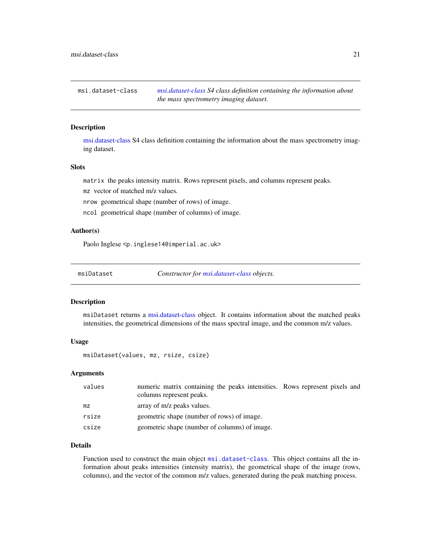<span id="page-20-1"></span><span id="page-20-0"></span>msi.dataset-class *[msi.dataset-class](#page-20-1) S4 class definition containing the information about the mass spectrometry imaging dataset.*

## Description

[msi.dataset-class](#page-20-1) S4 class definition containing the information about the mass spectrometry imaging dataset.

#### Slots

matrix the peaks intensity matrix. Rows represent pixels, and columns represent peaks.

mz vector of matched m/z values.

nrow geometrical shape (number of rows) of image.

ncol geometrical shape (number of columns) of image.

## Author(s)

Paolo Inglese <p.inglese14@imperial.ac.uk>

<span id="page-20-2"></span>msiDataset *Constructor for [msi.dataset-class](#page-20-1) objects.*

#### Description

msiDataset returns a [msi.dataset-class](#page-20-1) object. It contains information about the matched peaks intensities, the geometrical dimensions of the mass spectral image, and the common m/z values.

#### Usage

msiDataset(values, mz, rsize, csize)

#### Arguments

| values | numeric matrix containing the peaks intensities. Rows represent pixels and<br>columns represent peaks. |  |
|--------|--------------------------------------------------------------------------------------------------------|--|
| mz     | array of m/z peaks values.                                                                             |  |
| rsize  | geometric shape (number of rows) of image.                                                             |  |
| csize  | geometric shape (number of columns) of image.                                                          |  |

## Details

Function used to construct the main object [msi.dataset-class](#page-20-1). This object contains all the information about peaks intensities (intensity matrix), the geometrical shape of the image (rows, columns), and the vector of the common m/z values, generated during the peak matching process.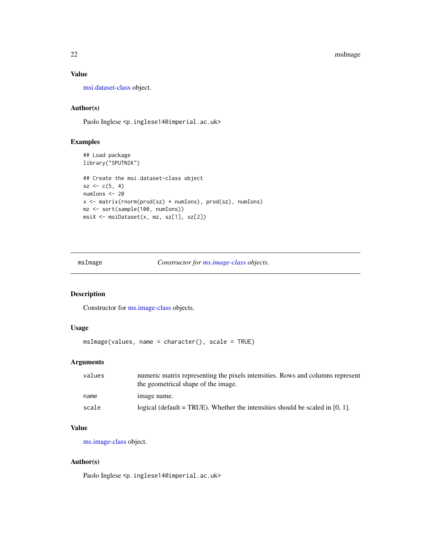<span id="page-21-0"></span>22 msImage

## Value

[msi.dataset-class](#page-20-1) object.

## Author(s)

Paolo Inglese <p.inglese14@imperial.ac.uk>

## Examples

```
## Load package
library("SPUTNIK")
## Create the msi.dataset-class object
sz < -c(5, 4)numIons <- 20
x <- matrix(rnorm(prod(sz) * numIons), prod(sz), numIons)
mz <- sort(sample(100, numIons))
msiX <- msiDataset(x, mz, sz[1], sz[2])
```
<span id="page-21-1"></span>msImage *Constructor for [ms.image-class](#page-19-1) objects.*

## Description

Constructor for [ms.image-class](#page-19-1) objects.

## Usage

```
msImage(values, name = character(), scale = TRUE)
```
## Arguments

| values | numeric matrix representing the pixels intensities. Rows and columns represent<br>the geometrical shape of the image. |
|--------|-----------------------------------------------------------------------------------------------------------------------|
| name   | image name.                                                                                                           |
| scale  | logical (default = TRUE). Whether the intensities should be scaled in $[0, 1]$ .                                      |

#### Value

[ms.image-class](#page-19-1) object.

## Author(s)

Paolo Inglese <p.inglese14@imperial.ac.uk>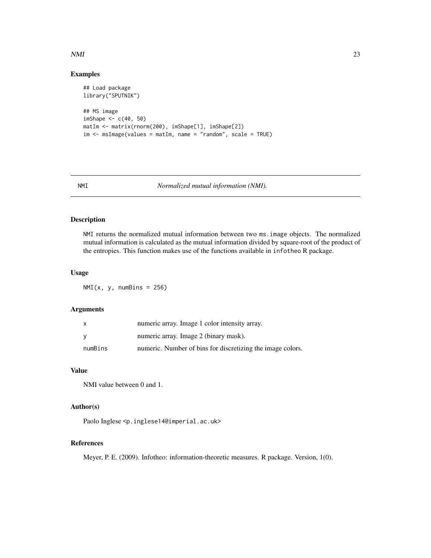## <span id="page-22-0"></span> $NMI$  23

## Examples

```
## Load package
library("SPUTNIK")
## MS image
imShape <- c(40, 50)
matIm <- matrix(rnorm(200), imShape[1], imShape[2])
im < - msImage(values = matIm, name = "random", scale = TRUE)
```
NMI *Normalized mutual information (NMI).*

## Description

NMI returns the normalized mutual information between two ms.image objects. The normalized mutual information is calculated as the mutual information divided by square-root of the product of the entropies. This function makes use of the functions available in infotheo R package.

#### Usage

 $NMI(x, y, numBins = 256)$ 

## Arguments

|         | numeric array. Image 1 color intensity array.              |
|---------|------------------------------------------------------------|
|         | numeric array. Image 2 (binary mask).                      |
| numBins | numeric. Number of bins for discretizing the image colors. |

#### Value

NMI value between 0 and 1.

## Author(s)

Paolo Inglese <p.inglese14@imperial.ac.uk>

#### References

Meyer, P. E. (2009). Infotheo: information-theoretic measures. R package. Version, 1(0).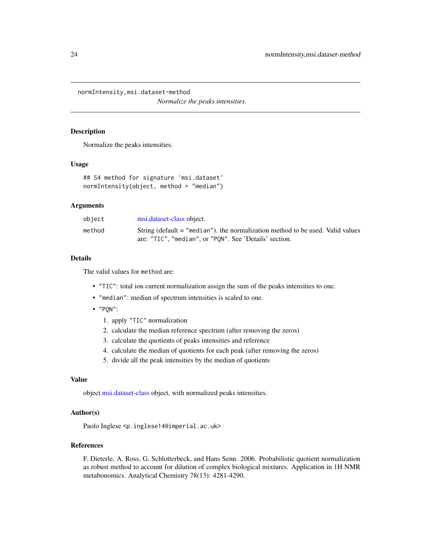<span id="page-23-0"></span>normIntensity,msi.dataset-method *Normalize the peaks intensities.*

## Description

Normalize the peaks intensities.

#### Usage

```
## S4 method for signature 'msi.dataset'
normIntensity(object, method = "median")
```
## Arguments

| object | msi.dataset-class object.                                                                                                                |
|--------|------------------------------------------------------------------------------------------------------------------------------------------|
| method | String (default = "median"), the normalization method to be used. Valid values<br>are: "TIC", "median", or "PON". See 'Details' section. |
|        |                                                                                                                                          |

#### Details

The valid values for method are:

- "TIC": total ion current normalization assign the sum of the peaks intensities to one.
- "median": median of spectrum intensities is scaled to one.
- "PQN":
	- 1. apply "TIC" normalization
	- 2. calculate the median reference spectrum (after removing the zeros)
	- 3. calculate the quotients of peaks intensities and reference
	- 4. calculate the median of quotients for each peak (after removing the zeros)
	- 5. divide all the peak intensities by the median of quotients

#### Value

object [msi.dataset-class](#page-20-1) object, with normalized peaks intensities.

## Author(s)

Paolo Inglese <p.inglese14@imperial.ac.uk>

## References

F. Dieterle, A. Ross, G. Schlotterbeck, and Hans Senn. 2006. Probabilistic quotient normalization as robust method to account for dilution of complex biological mixtures. Application in 1H NMR metabonomics. Analytical Chemistry 78(13): 4281-4290.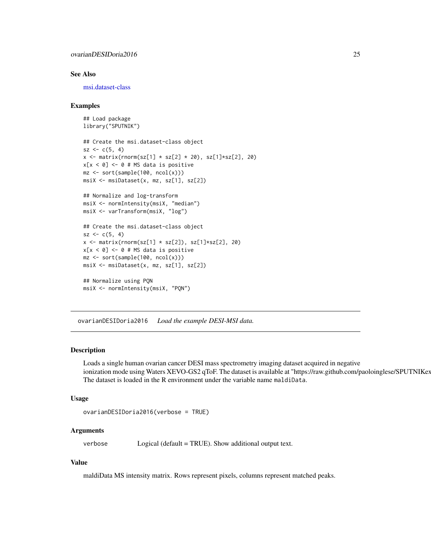## <span id="page-24-0"></span>ovarianDESIDoria2016 25

#### See Also

[msi.dataset-class](#page-20-1)

#### Examples

```
## Load package
library("SPUTNIK")
```

```
## Create the msi.dataset-class object
sz < -c(5, 4)x \le matrix(rnorm(sz[1] * sz[2] * 20), sz[1]*sz[2], 20)
x[x < 0] <- 0 # MS data is positive
mz \leftarrow sort(sample(100, ncol(x)))msiX <- msiDataset(x, mz, sz[1], sz[2])
```
## Normalize and log-transform msiX <- normIntensity(msiX, "median") msiX <- varTransform(msiX, "log")

```
## Create the msi.dataset-class object
sz < -c(5, 4)x \leftarrow \text{matrix}(rnorm(sz[1] * sz[2]), sz[1]*sz[2], 20)x[x < 0] <- 0 # MS data is positive
mz <- sort(sample(100, ncol(x)))
msiX <- msiDataset(x, mz, sz[1], sz[2])
```
## Normalize using PQN msiX <- normIntensity(msiX, "PQN")

ovarianDESIDoria2016 *Load the example DESI-MSI data.*

#### Description

Loads a single human ovarian cancer DESI mass spectrometry imaging dataset acquired in negative ionization mode using Waters XEVO-GS2 qToF. The dataset is available at "https://raw.github.com/paoloinglese/SPUTNIKex The dataset is loaded in the R environment under the variable name maldiData.

#### Usage

```
ovarianDESIDoria2016(verbose = TRUE)
```
## Arguments

verbose Logical (default = TRUE). Show additional output text.

## Value

maldiData MS intensity matrix. Rows represent pixels, columns represent matched peaks.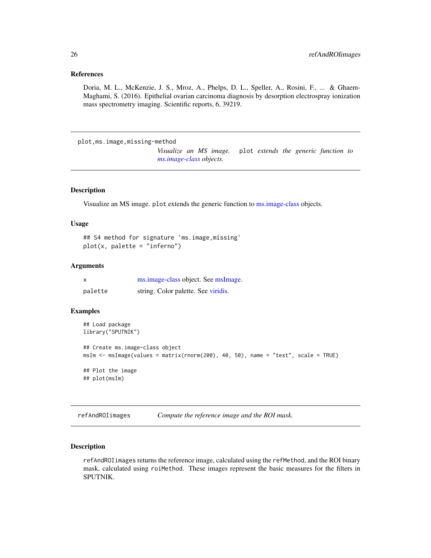#### <span id="page-25-0"></span>References

Doria, M. L., McKenzie, J. S., Mroz, A., Phelps, D. L., Speller, A., Rosini, F., ... & Ghaem-Maghami, S. (2016). Epithelial ovarian carcinoma diagnosis by desorption electrospray ionization mass spectrometry imaging. Scientific reports, 6, 39219.

plot,ms.image,missing-method

*Visualize an MS image.* plot *extends the generic function to [ms.image-class](#page-19-1) objects.*

## Description

Visualize an MS image. plot extends the generic function to [ms.image-class](#page-19-1) objects.

#### Usage

```
## S4 method for signature 'ms.image,missing'
plot(x, palette = "inferno")
```
#### **Arguments**

| X       | ms.image-class object. See msImage. |
|---------|-------------------------------------|
| palette | string. Color palette. See viridis. |

## Examples

```
## Load package
library("SPUTNIK")
## Create ms.image-class object
msIm <- msImage(values = matrix(rnorm(200), 40, 50), name = "test", scale = TRUE)
## Plot the image
## plot(msIm)
```
<span id="page-25-1"></span>refAndROIimages *Compute the reference image and the ROI mask.*

#### **Description**

refAndROIimages returns the reference image, calculated using the refMethod, and the ROI binary mask, calculated using roiMethod. These images represent the basic measures for the filters in SPUTNIK.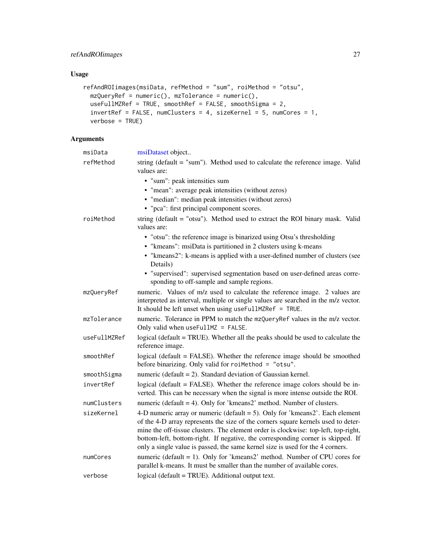## <span id="page-26-0"></span>Usage

```
refAndROIimages(msiData, refMethod = "sum", roiMethod = "otsu",
 mzQueryRef = numeric(), mzTolerance = numeric(),
 useFullMZRef = TRUE, smoothRef = FALSE, smoothSigma = 2,
 invertRef = FALSE, numClusters = 4, sizeKernel = 5, numCores = 1,
 verbose = TRUE)
```
## Arguments

| msiData      | msiDataset object                                                                                                                                                                                                                                                                                                                                                                                                              |
|--------------|--------------------------------------------------------------------------------------------------------------------------------------------------------------------------------------------------------------------------------------------------------------------------------------------------------------------------------------------------------------------------------------------------------------------------------|
| refMethod    | string (default = "sum"). Method used to calculate the reference image. Valid<br>values are:                                                                                                                                                                                                                                                                                                                                   |
|              | • "sum": peak intensities sum                                                                                                                                                                                                                                                                                                                                                                                                  |
|              | • "mean": average peak intensities (without zeros)                                                                                                                                                                                                                                                                                                                                                                             |
|              | • "median": median peak intensities (without zeros)                                                                                                                                                                                                                                                                                                                                                                            |
|              | • "pca": first principal component scores.                                                                                                                                                                                                                                                                                                                                                                                     |
| roiMethod    | string (default $=$ "otsu"). Method used to extract the ROI binary mask. Valid<br>values are:                                                                                                                                                                                                                                                                                                                                  |
|              | • "otsu": the reference image is binarized using Otsu's thresholding                                                                                                                                                                                                                                                                                                                                                           |
|              | • "kmeans": msiData is partitioned in 2 clusters using k-means                                                                                                                                                                                                                                                                                                                                                                 |
|              | • "kmeans2": k-means is applied with a user-defined number of clusters (see<br>Details)                                                                                                                                                                                                                                                                                                                                        |
|              | • "supervised": supervised segmentation based on user-defined areas corre-<br>sponding to off-sample and sample regions.                                                                                                                                                                                                                                                                                                       |
| mzQueryRef   | numeric. Values of m/z used to calculate the reference image. 2 values are<br>interpreted as interval, multiple or single values are searched in the m/z vector.<br>It should be left unset when using useFullMZRef = TRUE.                                                                                                                                                                                                    |
| mzTolerance  | numeric. Tolerance in PPM to match the mzQueryRef values in the m/z vector.<br>Only valid when useFullMZ = FALSE.                                                                                                                                                                                                                                                                                                              |
| useFullMZRef | logical (default = TRUE). Whether all the peaks should be used to calculate the<br>reference image.                                                                                                                                                                                                                                                                                                                            |
| smoothRef    | logical (default = FALSE). Whether the reference image should be smoothed<br>before binarizing. Only valid for roiMethod = "otsu".                                                                                                                                                                                                                                                                                             |
| smoothSigma  | numeric (default $= 2$ ). Standard deviation of Gaussian kernel.                                                                                                                                                                                                                                                                                                                                                               |
| invertRef    | logical (default = FALSE). Whether the reference image colors should be in-<br>verted. This can be necessary when the signal is more intense outside the ROI.                                                                                                                                                                                                                                                                  |
| numClusters  | numeric (default $=$ 4). Only for 'kmeans2' method. Number of clusters.                                                                                                                                                                                                                                                                                                                                                        |
| sizeKernel   | 4-D numeric array or numeric (default $=$ 5). Only for 'kmeans2'. Each element<br>of the 4-D array represents the size of the corners square kernels used to deter-<br>mine the off-tissue clusters. The element order is clockwise: top-left, top-right,<br>bottom-left, bottom-right. If negative, the corresponding corner is skipped. If<br>only a single value is passed, the same kernel size is used for the 4 corners. |
| numCores     | numeric (default = 1). Only for 'kmeans2' method. Number of CPU cores for<br>parallel k-means. It must be smaller than the number of available cores.                                                                                                                                                                                                                                                                          |
| verbose      | logical (default = TRUE). Additional output text.                                                                                                                                                                                                                                                                                                                                                                              |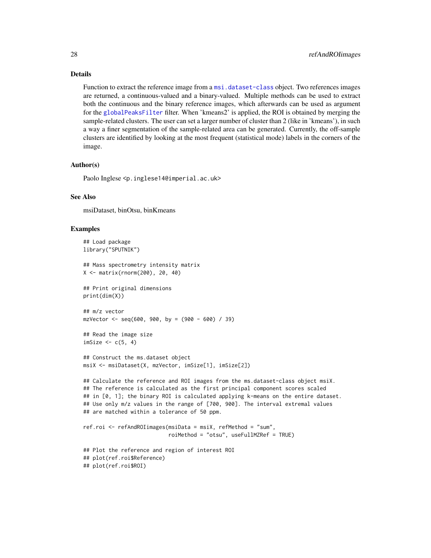#### <span id="page-27-0"></span>Details

Function to extract the reference image from a [msi.dataset-class](#page-20-1) object. Two references images are returned, a continuous-valued and a binary-valued. Multiple methods can be used to extract both the continuous and the binary reference images, which afterwards can be used as argument for the [globalPeaksFilter](#page-17-1) filter. When 'kmeans2' is applied, the ROI is obtained by merging the sample-related clusters. The user can set a larger number of cluster than 2 (like in 'kmeans'), in such a way a finer segmentation of the sample-related area can be generated. Currently, the off-sample clusters are identified by looking at the most frequent (statistical mode) labels in the corners of the image.

#### Author(s)

Paolo Inglese <p.inglese14@imperial.ac.uk>

#### See Also

msiDataset, binOtsu, binKmeans

```
## Load package
library("SPUTNIK")
## Mass spectrometry intensity matrix
X <- matrix(rnorm(200), 20, 40)
## Print original dimensions
print(dim(X))
## m/z vector
mzVector <- seq(600, 900, by = (900 - 600) / 39)
## Read the image size
imSize \leq c(5, 4)
## Construct the ms.dataset object
msiX <- msiDataset(X, mzVector, imSize[1], imSize[2])
```

```
## Calculate the reference and ROI images from the ms.dataset-class object msiX.
## The reference is calculated as the first principal component scores scaled
## in [0, 1]; the binary ROI is calculated applying k-means on the entire dataset.
## Use only m/z values in the range of [700, 900]. The interval extremal values
## are matched within a tolerance of 50 ppm.
```

```
ref.roi <- refAndROIimages(msiData = msiX, refMethod = "sum",
                           roiMethod = "otsu", useFullMZRef = TRUE)
```

```
## Plot the reference and region of interest ROI
## plot(ref.roi$Reference)
## plot(ref.roi$ROI)
```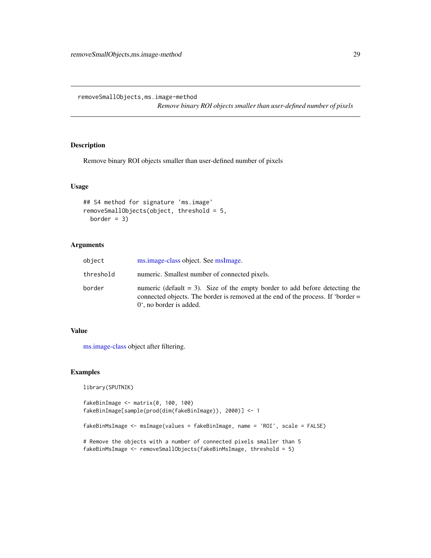<span id="page-28-0"></span>removeSmallObjects,ms.image-method

*Remove binary ROI objects smaller than user-defined number of pixels*

## Description

Remove binary ROI objects smaller than user-defined number of pixels

## Usage

```
## S4 method for signature 'ms.image'
removeSmallObjects(object, threshold = 5,
 border = 3)
```
## Arguments

| object    | ms.image-class object. See msImage.                                                                                                                                                                     |
|-----------|---------------------------------------------------------------------------------------------------------------------------------------------------------------------------------------------------------|
| threshold | numeric. Smallest number of connected pixels.                                                                                                                                                           |
| border    | numeric (default $= 3$ ). Size of the empty border to add before detecting the<br>connected objects. The border is removed at the end of the process. If 'border =<br>$0^{\circ}$ , no border is added. |

#### Value

[ms.image-class](#page-19-1) object after filtering.

## Examples

```
library(SPUTNIK)
```

```
fakeBinImage <- matrix(0, 100, 100)
fakeBinImage[sample(prod(dim(fakeBinImage)), 2000)] <- 1
```
fakeBinMsImage <- msImage(values = fakeBinImage, name = 'ROI', scale = FALSE)

```
# Remove the objects with a number of connected pixels smaller than 5
fakeBinMsImage <- removeSmallObjects(fakeBinMsImage, threshold = 5)
```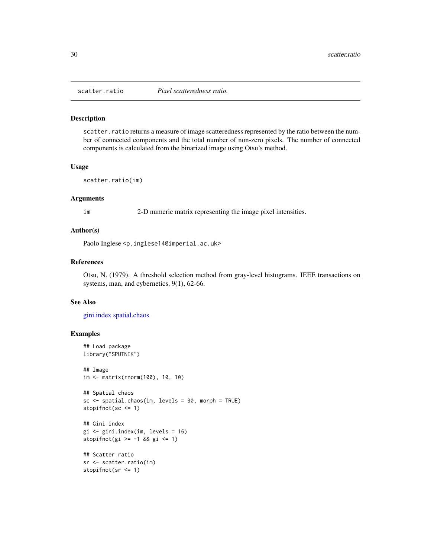<span id="page-29-1"></span><span id="page-29-0"></span>

#### Description

scatter.ratio returns a measure of image scatteredness represented by the ratio between the number of connected components and the total number of non-zero pixels. The number of connected components is calculated from the binarized image using Otsu's method.

#### Usage

scatter.ratio(im)

#### **Arguments**

im 2-D numeric matrix representing the image pixel intensities.

#### Author(s)

Paolo Inglese <p.inglese14@imperial.ac.uk>

#### References

Otsu, N. (1979). A threshold selection method from gray-level histograms. IEEE transactions on systems, man, and cybernetics, 9(1), 62-66.

## See Also

[gini.index](#page-16-1) [spatial.chaos](#page-30-1)

```
## Load package
library("SPUTNIK")
## Image
im <- matrix(rnorm(100), 10, 10)
## Spatial chaos
sc <- spatial.chaos(im, levels = 30, morph = TRUE)
stopifnot(sc <= 1)
## Gini index
gi <- gini.index(im, levels = 16)
stopifnot(gi >= -1 && gi <= 1)
## Scatter ratio
sr <- scatter.ratio(im)
stopifnot(sr <= 1)
```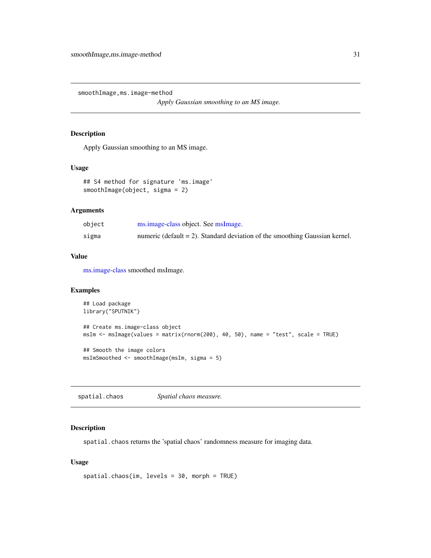<span id="page-30-0"></span>smoothImage,ms.image-method

*Apply Gaussian smoothing to an MS image.*

## Description

Apply Gaussian smoothing to an MS image.

## Usage

```
## S4 method for signature 'ms.image'
smoothImage(object, sigma = 2)
```
#### Arguments

| object | ms.image-class object. See msImage.                                            |
|--------|--------------------------------------------------------------------------------|
| sigma  | numeric (default $= 2$ ). Standard deviation of the smoothing Gaussian kernel. |

## Value

[ms.image-class](#page-19-1) smoothed msImage.

## Examples

```
## Load package
library("SPUTNIK")
## Create ms.image-class object
msIm <- msImage(values = matrix(rnorm(200), 40, 50), name = "test", scale = TRUE)
## Smooth the image colors
msImSmoothed <- smoothImage(msIm, sigma = 5)
```
<span id="page-30-1"></span>spatial.chaos *Spatial chaos measure.*

## Description

spatial.chaos returns the 'spatial chaos' randomness measure for imaging data.

## Usage

```
spatial.chaos(im, levels = 30, morph = TRUE)
```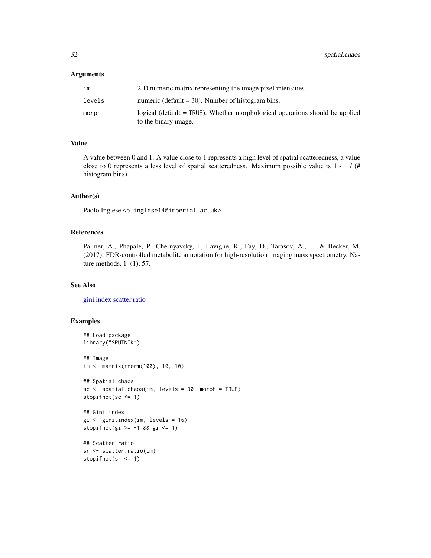#### <span id="page-31-0"></span>Arguments

| im     | 2-D numeric matrix representing the image pixel intensities.                                         |
|--------|------------------------------------------------------------------------------------------------------|
| levels | numeric (default $=$ 30). Number of histogram bins.                                                  |
| morph  | logical (default = TRUE). Whether morphological operations should be applied<br>to the binary image. |

#### Value

A value between 0 and 1. A value close to 1 represents a high level of spatial scatteredness, a value close to 0 represents a less level of spatial scatteredness. Maximum possible value is 1 - 1 / (# histogram bins)

#### Author(s)

Paolo Inglese <p.inglese14@imperial.ac.uk>

#### References

Palmer, A., Phapale, P., Chernyavsky, I., Lavigne, R., Fay, D., Tarasov, A., ... & Becker, M. (2017). FDR-controlled metabolite annotation for high-resolution imaging mass spectrometry. Nature methods, 14(1), 57.

## See Also

[gini.index](#page-16-1) [scatter.ratio](#page-29-1)

```
## Load package
library("SPUTNIK")
## Image
im <- matrix(rnorm(100), 10, 10)
## Spatial chaos
sc <- spatial.chaos(im, levels = 30, morph = TRUE)
stopifnot(sc <= 1)
## Gini index
gi <- gini.index(im, levels = 16)
stopifnot(gi >= -1 && gi <= 1)
## Scatter ratio
sr <- scatter.ratio(im)
stopifnot(sr <= 1)
```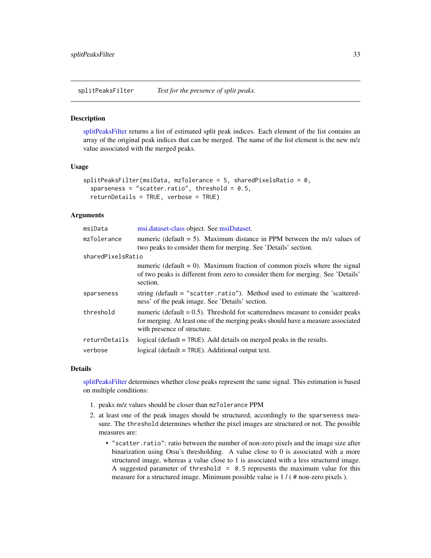<span id="page-32-1"></span><span id="page-32-0"></span>splitPeaksFilter *Test for the presence of split peaks.*

#### **Description**

[splitPeaksFilter](#page-32-1) returns a list of estimated split peak indices. Each element of the list contains an array of the original peak indices that can be merged. The name of the list element is the new m/z value associated with the merged peaks.

#### Usage

```
splitPeaksFilter(msilota, mzTolerance = 5, sharedPixelsRatio = 0,sparseness = "scatter.ratio", threshold = 0.5,
 returnDetails = TRUE, verbose = TRUE)
```
## Arguments

| msiData           | msi.dataset-class object. See msiDataset.                                                                                                                                                           |
|-------------------|-----------------------------------------------------------------------------------------------------------------------------------------------------------------------------------------------------|
| mzTolerance       | numeric (default $= 5$ ). Maximum distance in PPM between the m/z values of<br>two peaks to consider them for merging. See 'Details' section.                                                       |
| sharedPixelsRatio |                                                                                                                                                                                                     |
|                   | numeric (default $= 0$ ). Maximum fraction of common pixels where the signal<br>of two peaks is different from zero to consider them for merging. See 'Details'<br>section.                         |
| sparseness        | string (default = "scatter.ratio"). Method used to estimate the 'scattered-<br>ness' of the peak image. See 'Details' section.                                                                      |
| threshold         | numeric (default $= 0.5$ ). Threshold for scatteredness measure to consider peaks<br>for merging. At least one of the merging peaks should have a measure associated<br>with presence of structure. |
| returnDetails     | logical (default $=$ TRUE). Add details on merged peaks in the results.                                                                                                                             |
| verbose           | logical ( $default = TRUE$ ). Additional output text.                                                                                                                                               |

#### Details

[splitPeaksFilter](#page-32-1) determines whether close peaks represent the same signal. This estimation is based on multiple conditions:

- 1. peaks m/z values should be closer than mzTolerance PPM
- 2. at least one of the peak images should be structured, accordingly to the sparseness measure. The threshold determines whether the pixel images are structured or not. The possible measures are:
	- "scatter.ratio": ratio between the number of non-zero pixels and the image size after binarization using Otsu's thresholding. A value close to 0 is associated with a more structured image, whereas a value close to 1 is associated with a less structured image. A suggested parameter of threshold =  $0.5$  represents the maximum value for this measure for a structured image. Minimum possible value is 1 / ( # non-zero pixels ).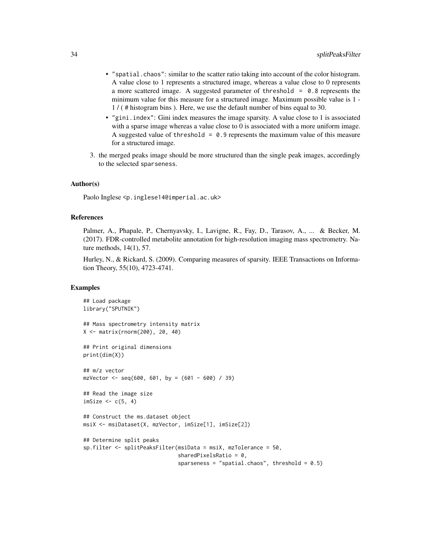- "spatial.chaos": similar to the scatter ratio taking into account of the color histogram. A value close to 1 represents a structured image, whereas a value close to 0 represents a more scattered image. A suggested parameter of threshold  $= 0.8$  represents the minimum value for this measure for a structured image. Maximum possible value is 1 - 1 / ( # histogram bins ). Here, we use the default number of bins equal to 30.
- "gini.index": Gini index measures the image sparsity. A value close to 1 is associated with a sparse image whereas a value close to 0 is associated with a more uniform image. A suggested value of threshold =  $0.9$  represents the maximum value of this measure for a structured image.
- 3. the merged peaks image should be more structured than the single peak images, accordingly to the selected sparseness.

#### Author(s)

Paolo Inglese <p.inglese14@imperial.ac.uk>

#### References

Palmer, A., Phapale, P., Chernyavsky, I., Lavigne, R., Fay, D., Tarasov, A., ... & Becker, M. (2017). FDR-controlled metabolite annotation for high-resolution imaging mass spectrometry. Nature methods, 14(1), 57.

Hurley, N., & Rickard, S. (2009). Comparing measures of sparsity. IEEE Transactions on Information Theory, 55(10), 4723-4741.

```
## Load package
library("SPUTNIK")
## Mass spectrometry intensity matrix
X <- matrix(rnorm(200), 20, 40)
## Print original dimensions
print(dim(X))
## m/z vector
mzVector \leq seq(600, 601, by = (601 - 600) / 39)
## Read the image size
imSize <- c(5, 4)
## Construct the ms.dataset object
msiX <- msiDataset(X, mzVector, imSize[1], imSize[2])
## Determine split peaks
sp.filter <- splitPeaksFilter(msiData = msiX, mzTolerance = 50,
                              sharedPixelsRatio = 0,
                              sparseness = "spatial.chaos", threshold = 0.5)
```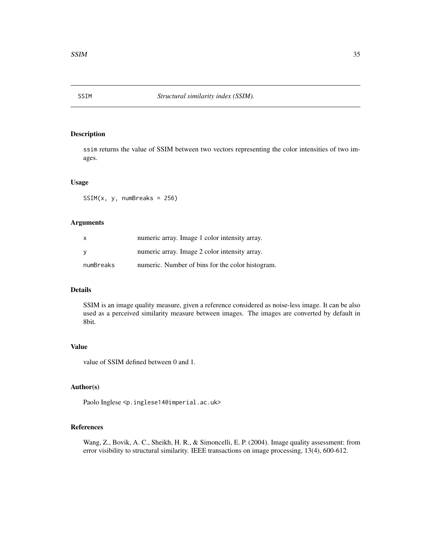<span id="page-34-0"></span>

## Description

ssim returns the value of SSIM between two vectors representing the color intensities of two images.

## Usage

 $SSIM(x, y, numbreaks = 256)$ 

## Arguments

| $\mathsf{x}$ | numeric array. Image 1 color intensity array.    |
|--------------|--------------------------------------------------|
| - V          | numeric array. Image 2 color intensity array.    |
| numBreaks    | numeric. Number of bins for the color histogram. |

## Details

SSIM is an image quality measure, given a reference considered as noise-less image. It can be also used as a perceived similarity measure between images. The images are converted by default in 8bit.

## Value

value of SSIM defined between 0 and 1.

## Author(s)

Paolo Inglese <p.inglese14@imperial.ac.uk>

#### References

Wang, Z., Bovik, A. C., Sheikh, H. R., & Simoncelli, E. P. (2004). Image quality assessment: from error visibility to structural similarity. IEEE transactions on image processing, 13(4), 600-612.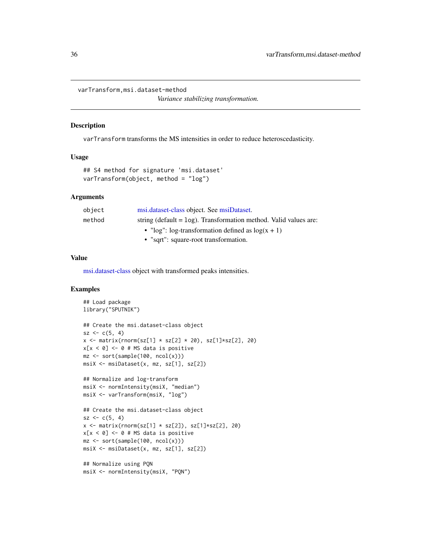<span id="page-35-0"></span>varTransform,msi.dataset-method

*Variance stabilizing transformation.*

#### Description

varTransform transforms the MS intensities in order to reduce heteroscedasticity.

#### Usage

```
## S4 method for signature 'msi.dataset'
varTransform(object, method = "log")
```
#### Arguments

| object | msi.dataset-class object. See msiDataset.                          |
|--------|--------------------------------------------------------------------|
| method | string (default $=$ log). Transformation method. Valid values are: |
|        | • " $log$ ": $log-transformation$ defined as $log(x + 1)$          |
|        | • "sqrt": square-root transformation.                              |

## Value

[msi.dataset-class](#page-20-1) object with transformed peaks intensities.

```
## Load package
library("SPUTNIK")
## Create the msi.dataset-class object
sz < -c(5, 4)x \le matrix(rnorm(sz[1] * sz[2] * 20), sz[1]*sz[2], 20)
x[x < 0] <- 0 # MS data is positive
mz <- sort(sample(100, ncol(x)))
msiX <- msiDataset(x, mz, sz[1], sz[2])
## Normalize and log-transform
msiX <- normIntensity(msiX, "median")
msiX <- varTransform(msiX, "log")
## Create the msi.dataset-class object
sz < -c(5, 4)x \le matrix(rnorm(sz[1] * sz[2]), sz[1]*sz[2], 20)
x[x < 0] <- 0 # MS data is positive
mz <- sort(sample(100, ncol(x)))
msiX <- msiDataset(x, mz, sz[1], sz[2])
## Normalize using PQN
```

```
msiX <- normIntensity(msiX, "PQN")
```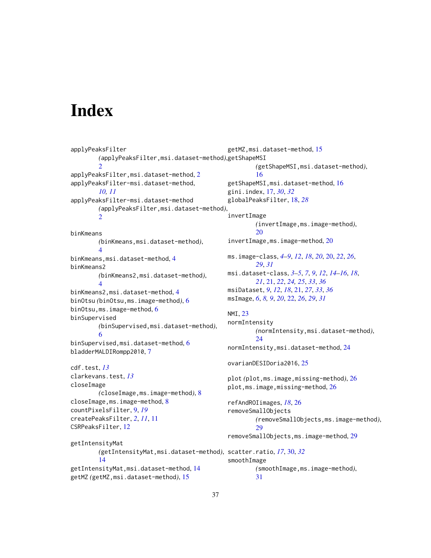# <span id="page-36-0"></span>**Index**

```
applyPeaksFilter
        (applyPeaksFilter,msi.dataset-method),
getShapeMSI
        \mathcal{L}applyPeaksFilter,msi.dataset-method, 2
applyPeaksFilter-msi.dataset-method,
        10, 11
applyPeaksFilter-msi.dataset-method
        (applyPeaksFilter,msi.dataset-method),
        \mathcal{D}binKmeans
        (binKmeans,msi.dataset-method),
        4
binKmeans,msi.dataset-method, 4
binKmeans2
        (binKmeans2,msi.dataset-method),
        4
binKmeans2,msi.dataset-method, 4
binOtsu (binOtsu,ms.image-method), 6
binOtsu,ms.image-method, 6
binSupervised
        (binSupervised,msi.dataset-method),
        6
binSupervised,msi.dataset-method, 6
bladderMALDIRompp2010, 7
cdf.test, 13
clarkevans.test, 13
closeImage
        (closeImage,ms.image-method), 8
closeImage,ms.image-method, 8
countPixelsFilter, 9, 19
createPeaksFilter, 2, 11, 11
CSRPeaksFilter, 12
getIntensityMat
        (getIntensityMat,msi.dataset-method),
scatter.ratio, 17, 30, 32
        14
getIntensityMat,msi.dataset-method, 14
getMZ (getMZ,msi.dataset-method), 15
                                               getMZ,msi.dataset-method, 15
                                                        (getShapeMSI,msi.dataset-method),
                                                        16
                                                getShapeMSI,msi.dataset-method, 16
                                               gini.index, 17, 30, 32
                                               globalPeaksFilter, 18, 28
                                                invertImage
                                                        (invertImage,ms.image-method),
                                                        20
                                                invertImage,ms.image-method, 20
                                               ms.image-class, 4–9, 12, 18, 20, 20, 22, 26,
                                                        29, 31
                                               msi.dataset-class, 3–5, 7, 9, 12, 14–16, 18,
                                                        21, 21, 22, 24, 25, 33, 36
                                               msiDataset, 9, 12, 18, 21, 27, 33, 36
                                               msImage, 6, 8, 9, 20, 22, 26, 29, 31
                                               NMI, 23
                                               normIntensity
                                                        (normIntensity,msi.dataset-method),
                                                        24
                                                normIntensity,msi.dataset-method, 24
                                               ovarianDESIDoria2016, 25
                                               plot (plot,ms.image,missing-method), 26
                                               26
                                                refAndROIimages, 18, 26
                                                removeSmallObjects
                                                        (removeSmallObjects,ms.image-method),
                                                        29removeSmallObjects,ms.image-method, 29
                                                smoothImage
                                                        (smoothImage,ms.image-method),
                                                        31
```